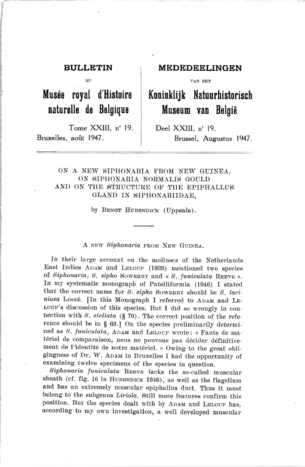Tome XXIII,  $n^{\circ}$  19. Deel XXIII,  $n^{\circ}$  19. Bruxelles, août 1947. Brussel, Augustus 1947.

# BULLETIN MEDEDEELINGEN

DU ! VAN HET

# Musée royal d'Histoire | Koninklijk Natuurhistorisch naturelle de Belgique Museum van België

# ON A NEW SIPHONARIA FROM NEW GUINEA, ON SIPHONARIA NORMALIS GOULD AND ON THE STRUCTURE OF THE EPIPHALLUS GLAND IN SIPHONARIIDAE.

by BENGT HUBENDICK (Uppsala).

## A NEW Siphonaria FROM NEW GUINEA.

In their large account on the molluscs of the Netherlands East Indies ADAM and LELOUP (1939) mentioned two species of Siphonaria, S. sipho SOWERBY and « S. funiculata REEVE ». In my systematic monograph of Patelliformia (1940) <sup>T</sup> stated that the correct name for  $S$ . sipho Sowerby should be  $S$ . laciniosa LINNÉ. [In this Monograph I referred to ADAM and LE-LOUP's discussion of this species. But I did so wrongly in connection with  $S.$  stellata (§ 70). The correct position of the reference should be in § 69.] On the species preliminarily determined as S. funiculata, ADAM and LELOUP wrote: « Faute de ma-<br>tériel de comparaison, nous ne pouvons pas décider définitivement de l'identité de notre matériel. » Owing to the great obligingness of Dr. W. ADAM in Bruxelles I had the opportunity of examining twelve specimens of the species in question.

Siphonaria funiculata REEVE lacks the so-called muscular sheath (cf. fig. 16 in HUBENDICK 1946), as well as the flagellum and has an extremely muscular epiphallus duct. Thus it must belong to the subgenus Liriola. Still more features confirm this position. But the species dealt with by ADAM and LELOUP has, according to my own investigation, <sup>a</sup> well developed muscular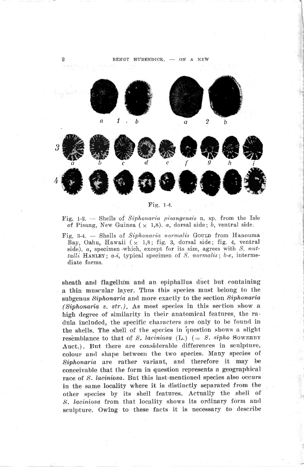

Fig. 1-4.

Fig. 1-2. — Shells of Siphonaria pisangensis n. sp. from the Isle of Pisang, New Guinea ( $\times$  1,8). a, dorsal side; b, ventral side.

Fig. 3-4. - Shells of Siphonaria normalis Gould from Hanouma Bay, Oahu, Hawaii ( $\times$  1,8; fig. 3, dorsal side; fig. 4, ventral side).  $\alpha$ , specimen which, except for its size, agrees with S. nuttalli HANLEY;  $a-i$ , typical specimen of S. normalis; b-e, intermediate forms.

sheath and flagellum and an epiphallus duct but containing a thin muscular layer. Thus this species must belong to the subgenus Siphonaria and more exactly to the section Siphonaria  $(Siphonaria \s, str.).$  As most species in this section show a high degree of similarity in their anatomical features, the radula included, the specific characters are only to be found in the shells. The shell of the species in question shows a slight resemblance to that of S. laciniosa (L.) (= S. sipho SOWERBY Auct.). But there are considerable differences in sculpture, colour and shape between the two species. Many species of Siphonaria are rather variant, and therefore it may be conceivable that the form in question represents a geographical race of S. laciniosa. But this last-mentioned species also occurs in the same locality where it is distinctly separated from the other species by its shell features. Actually the shell of S. laciniosa from that locality shows its ordinary form and sculpture. Owing to these facts it is necessary to describe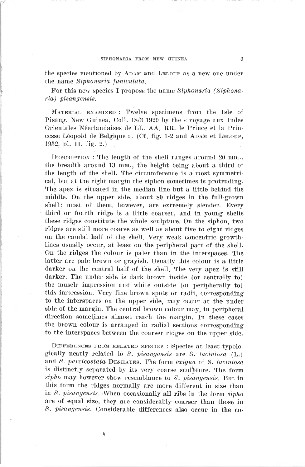the species mentioned by ADAM and LELOUP as a new one under the name Siphonaria funiculata.

For this new species I propose the name Siphonaria (SiphonariaJ pisangensis.

Maxekial examixed : Twelve specimens trom the Isle of Pisang, New Guinea, Coll.  $18/3$  1929 by the « voyage aux Indes Orientales Néerlandaises de LL. AA, RR. le Prince et la Princesse Léopold de Belgique ». (Cf. fig. 1-2 and ADAM et LELOUP, 1932, pl. II, fig. 2.)

DESCRIPTION : The length of the shell ranges around  $20$  mm., the breadth around 13 mm., the height being about a third of the length of the shell. The circumference is almost symmetrical, but at the right margin the siphon sometimes is protruding. The apex is situated in the median line but a little behind the middle. On the upper side, about 80 ridges in the full-grown shell; most of them, however, are extremely slender. Every third or fourth ridge is a little coarser, and in young shells these ridges constitute the whole sculpture. On the siphon, two ridges are still more coarse as well as about five to eight ridges on the caudal half of the shell. Very weak concentric growthlines usually occur, at least on the peripheral part of the shell. On the ridges the colour is paler than in the interspaces. The latter are pale brown or gravish. Usually this colour is a little darker on the central half of the shell. The very apex is still darker. The under side is dark brown inside (or centrally to) the muscle impression and white outside (or peripherally to) this impression. Very fine brown spots or radii, corresponding to the interspaces on the upper side, may occur at the under side of the margin. The central brown colour may, in peripheral direction sometimes almost reach the margin. In these cases the brown colour is arranged in radial sections corresponding to the interspaces between the coarser ridges on the upper side.

Différences from relaxed species : Species at least tvpologically nearly related to  $S.$  pisangensis are  $S.$  laciniosa (L.) and S. parcicostata DESHAYES. The form exigua of S. laciniosa is distinctly separated by its very coarse sculpture. The form sipho may however show resemblance to  $S$ . pisangensis. But in this form the ridges normally are more different in size than<br>in  $S$ , *pisangensis*. When occasionally all ribs in the form  $sipho$ are of equal size, they are considerably coarser than those in 8. pisangensis. Considérable différences also occur in the co-

f.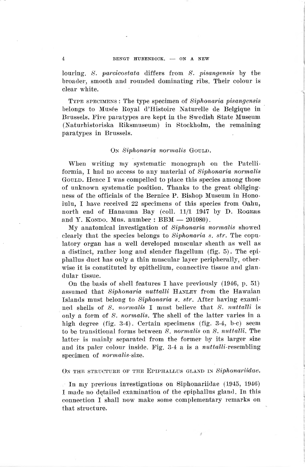louring. S. parcicostata differs from S. pisangensis by the broader, smooth and rounded dominating ribs. Their eolour is clear white.

Type specimens : The type specimen of Siphonaria pisanyensis belongs to Musée Royal d'Histoire Naturelle de Belgique in Brussels. Five paratypes are kept in the Swedish State Museum (Naturhistoriska Riksmuseum) in Stockholm, the remaining paratypes in Brussels.

### On Siphonaria normalis GOULD.

When writing my systematic monograph on the Patelliformia, I had no access to any material of siphonaria normalis GOULD. Hence I was compelled to place this species among those of unknown systematic position. Thanks to the great obligingness of the officials of the Bernice P. Bishop Museum in Honoiulu, I have received <sup>22</sup> specimens of this species from Oahu, north end of Hanauma Bay (coll. 11/1 <sup>1917</sup> by D. Rogers and Y. Kondo. Mus. number :  $BBM - 201080$ .

My anatomical investigation of Siphonaria normalis showed clearly that the species belongs to Siphonaria s.  $str.$  The copulatory organ lias a well developed muscular sheath as well as a distinct, rather long and slender flagellum (fig. 5). The epiphallus duct has only a thin muscular layer peripherally, otherwise it is constituted by epithelium, counective tissue and glan dular tissue.

On the basis of shell features I have previously  $(1946, p. 51)$ assumed that Siphonaria nuttalli HANLEY from the Hawaian Islands must belong to Siphonaria s. str. After having examined shells of S. normalis I must believe that S. nuttalli is only a form of 8. normalis. The shell of the latter varies in a high degree (fig. 3-4). Certain specimens (fig. 3-4, b-c) seem to be transitional forms between 8. normalis on 8. nuttalli. The latter is mainly separated from the former by its larger size and its paler colour inside. Fig.  $3-4$  a is a *nuttalli-resembling* specimen of normalis-size.

ON THE STRUCTURE OF THE EPIPHALLUS GLAND IN Siphonariidae.

In my previous investigations on Siphonariidae (1915, 1916) I made no detailed examination of the epiphallüs gland. In this connection I shall now make some complementary remarks on that structure.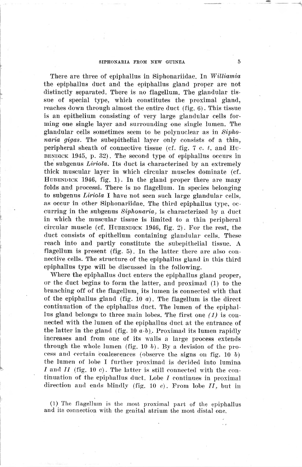#### SIPHONARIA FROM NEW GUINEA 5

There are three of epiphallus in Siphonariidae. In Williamia the epiphallus duet and the epiphallus gland proper are not distinctly separated. There is no flagellum. The glandular tissue of special type, which constitutes the proximal gland, reaches down through almost the entire duct (fig. G). This tissue is an epithelium consisting of very large glandular cells forming one single layer and surrounding one single lumen. The glandular cells sométimes seeni to be polynuclear as in Siphonaria gigas. The subepithelial layer only consists of a thin, peripheral sheath of connective tissue (cf. fig. 7  $c$ .  $t$ . and Hu-BENDICK  $1945$ , p. 32). The second type of epiphallus occurs in the subgenus Liriola. Its duct is characterized by an extremely thick muscular layer in which circular muscles dominate (cf. HUBENDICK 1946, fig. 1). In the gland proper there are mazy folds and processi. There is no flagellum. In species belonging to subgenus Liriola I have not seen such large glandular cells, as occur in other Siphonariidae. The third epiphallus type, oecurring in the subgenus Siphonaria, is characterized by <sup>a</sup> duct in which the muscular tissue is limited to <sup>a</sup> thin peripheral circular muscle (cf. HUBBNDICK  $1946$ , fig. 2). For the rest, the duct consists of epithelium containing glandular cells. These reach into and partly constitute the subepithelial tissue. A flagellum is present (fig.  $5$ ). In the latter there are also connective cells. The structure of the epiphallus gland in this third epiphallus type will be discussed in the following.

Where the epiphallus duct enters the epiphallus gland proper, or the duct begins to form the latter, and proximad (1) to the branching off of the flagellum, its lumen is conneeted with that of the epiphallus gland (fig. 10  $a$ ). The flagellum is the direct continuation of the epiphallus duct. The lumen of the epiphallus gland belongs to three main lobes. The first one  $(1)$  is connected with the lumen of the epiphallus duct at the entrance of the latter in the gland (fig. 10  $a-b$ ). Proximad its lumen rapidly increases and from one of its walls <sup>a</sup> large process extends through the whole lumen (fig. 10  $b$ ). By a devision of the process and certain coalescences (observe the signs on fig. 10  $b$ ) the lumen of lobe I further proximad is devided into lumina I and II (fig. 10 c). The latter is still connected with the continuation of the epiphallus duct. Lobe I continues in proximal direction and ends blindly (fig. 10  $e$ ). From lobe II, but in

(1) The flagellum is the most proximal part of the epiphallus and its connection with the genital atrium the most distal one.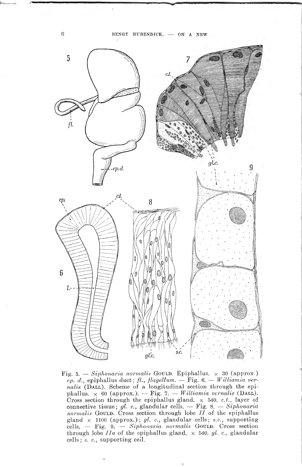

Fig. 5. — Siphonaria normalis Gould. Epiphallus.  $\times$  30 (approx.)  $ep. d.$ , epiphallus duct; fl., flagellum.  $-$  Fig. 6.  $-$  Williamia ver $nalis$  (DALL). Scheme of a longitudinal section through the epiphallus.  $\times$  60 (approx.). — Fig. 7. — Williamia vernalis (DALL). Cross section through the epiphallus gland,  $\times$  540. c.t., layer of connective tissue; gl. c., glandular cells.  $-$  Fig. 8.  $-$  Siphonaria  $normalis$  Gould. Cross section through lobe  $II$  of the epiphallus gland  $\times$  1100 (approx.); gl. c., glandular cells; s.c., supporting cells.  $-$  Fig. 9.  $-$  Siphonaria normalis GOULD. Cross section through lobe *IIa* of the epiphallus gland,  $\times$  540. gl. c., glandular cells; s. c., supporting ceil.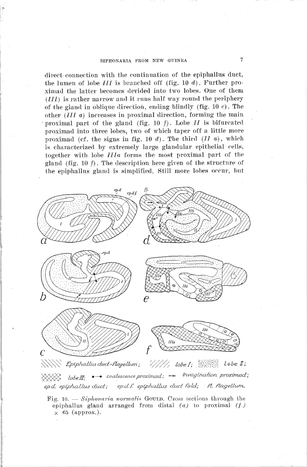### SIPHONARIA FROM NEW GUINEA 7

direct connection with the continuation of the epiphallus duct, the lumen of lobe  $III$  is branched off (fig. 10 d). Further proximad the latter becomes devided into two lobes. One of them  $(III)$  is rather narrow and it runs half way round the periphery of the gland in oblique direction, ending blindly (fig.  $10 e$ ). The other  $(III \t a)$  increases in proximal direction, forming the main proximal part of the gland (fig. 10  $f$ ). Lobe II is bifurcated proximad into three lobes, two of which taper off a little more proximad (cf. the signs in fig. 10 d). The third  $(II \, a)$ , which is characterized by extremely large glandular epithelial cells, together with lobe  $IIIa$  forms the most proximal part of the gland (fig. 10  $f$ ). The description here given of the structure of the epiphallus gland is simplified. Still more lobes occur, but



Fig. 10.  $\sim$  Siphonaria normalis Gould. Cross sections through the epiphallus gland arranged from distal  $(a)$  to proximal  $(f)$  $\times$  65 (approx.).